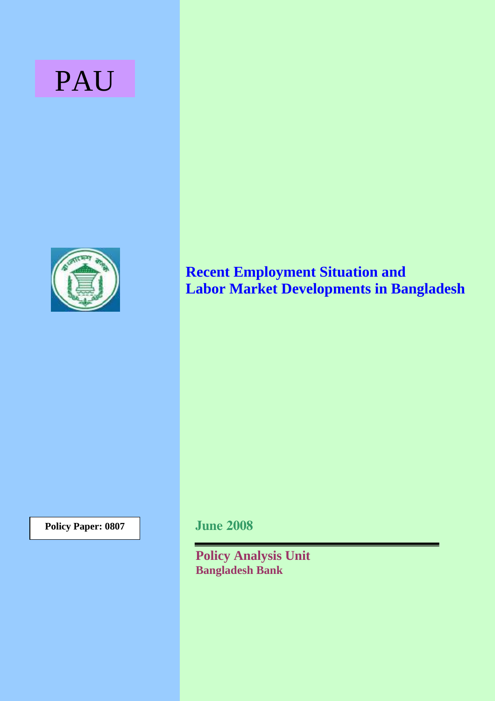# PAU



# **Recent Employment Situation and Labor Market Developments in Bangladesh**

**Policy Paper: 0807** 

**June 2008** 

**Policy Analysis Unit Bangladesh Bank**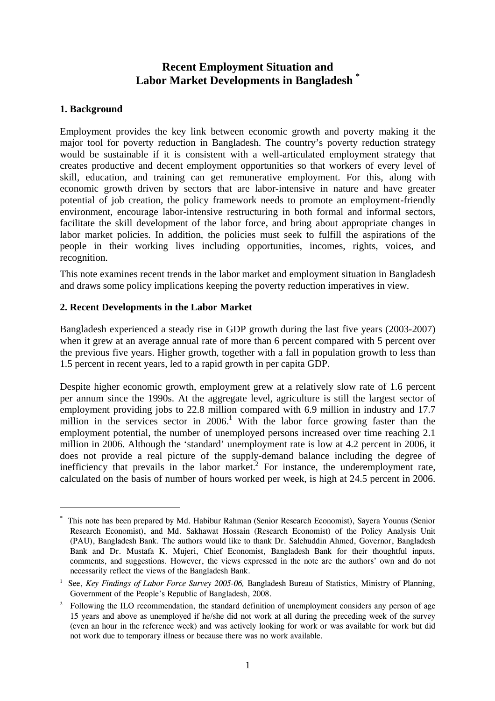# **Recent Employment Situation and Labor Market Developments in Bangladesh [\\*](#page-1-0)**

#### **1. Background**

 $\overline{a}$ 

Employment provides the key link between economic growth and poverty making it the major tool for poverty reduction in Bangladesh. The country's poverty reduction strategy would be sustainable if it is consistent with a well-articulated employment strategy that creates productive and decent employment opportunities so that workers of every level of skill, education, and training can get remunerative employment. For this, along with economic growth driven by sectors that are labor-intensive in nature and have greater potential of job creation, the policy framework needs to promote an employment-friendly environment, encourage labor-intensive restructuring in both formal and informal sectors, facilitate the skill development of the labor force, and bring about appropriate changes in labor market policies. In addition, the policies must seek to fulfill the aspirations of the people in their working lives including opportunities, incomes, rights, voices, and recognition.

This note examines recent trends in the labor market and employment situation in Bangladesh and draws some policy implications keeping the poverty reduction imperatives in view.

#### **2. Recent Developments in the Labor Market**

Bangladesh experienced a steady rise in GDP growth during the last five years (2003-2007) when it grew at an average annual rate of more than 6 percent compared with 5 percent over the previous five years. Higher growth, together with a fall in population growth to less than 1.5 percent in recent years, led to a rapid growth in per capita GDP.

Despite higher economic growth, employment grew at a relatively slow rate of 1.6 percent per annum since the 1990s. At the aggregate level, agriculture is still the largest sector of employment providing jobs to 22.8 million compared with 6.9 million in industry and 17.7 million in the services sector in  $2006$ .<sup>1</sup> With the labor force growing faster than the employment potential, the number of unemployed persons increased over time reaching 2.1 million in 2006. Although the 'standard' unemployment rate is low at 4.2 percent in 2006, it does not provide a real picture of the supply-demand balance including the degree of inefficiency that prevails in the labor market.<sup>[2](#page-1-2)</sup> For instance, the underemployment rate, calculated on the basis of number of hours worked per week, is high at 24.5 percent in 2006.

<span id="page-1-0"></span><sup>\*</sup> This note has been prepared by Md. Habibur Rahman (Senior Research Economist), Sayera Younus (Senior Research Economist), and Md. Sakhawat Hossain (Research Economist) of the Policy Analysis Unit (PAU), Bangladesh Bank. The authors would like to thank Dr. Salehuddin Ahmed, Governor, Bangladesh Bank and Dr. Mustafa K. Mujeri, Chief Economist, Bangladesh Bank for their thoughtful inputs, comments, and suggestions. However, the views expressed in the note are the authors' own and do not necessarily reflect the views of the Bangladesh Bank.

<span id="page-1-1"></span><sup>&</sup>lt;sup>1</sup> See, Key Findings of Labor Force Survey 2005-06, Bangladesh Bureau of Statistics, Ministry of Planning, Government of the People's Republic of Bangladesh, 2008.

<span id="page-1-2"></span><sup>2</sup> Following the ILO recommendation, the standard definition of unemployment considers any person of age 15 years and above as unemployed if he/she did not work at all during the preceding week of the survey (even an hour in the reference week) and was actively looking for work or was available for work but did not work due to temporary illness or because there was no work available.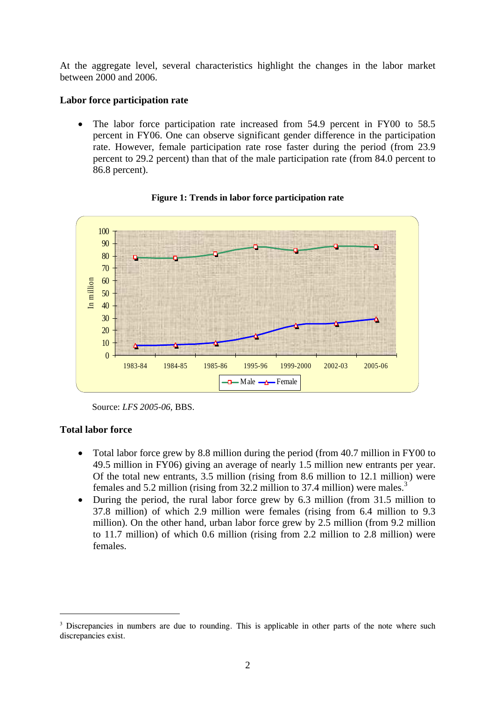At the aggregate level, several characteristics highlight the changes in the labor market between 2000 and 2006.

#### **Labor force participation rate**

The labor force participation rate increased from 54.9 percent in FY00 to 58.5 percent in FY06. One can observe significant gender difference in the participation rate. However, female participation rate rose faster during the period (from 23.9 percent to 29.2 percent) than that of the male participation rate (from 84.0 percent to 86.8 percent).



**Figure 1: Trends in labor force participation rate** 

# **Total labor force**

 $\overline{a}$ 

- Total labor force grew by 8.8 million during the period (from 40.7 million in FY00 to 49.5 million in FY06) giving an average of nearly 1.5 million new entrants per year. Of the total new entrants, 3.5 million (rising from 8.6 million to 12.1 million) were females and 5.2 million (rising from 32.2 million to 37.4 million) were males.<sup>3</sup>
- During the period, the rural labor force grew by 6.3 million (from 31.5 million to 37.8 million) of which 2.9 million were females (rising from 6.4 million to 9.3 million). On the other hand, urban labor force grew by 2.5 million (from 9.2 million to 11.7 million) of which 0.6 million (rising from 2.2 million to 2.8 million) were females.

Source: *LFS 2005-06,* BBS.

<span id="page-2-0"></span><sup>&</sup>lt;sup>3</sup> Discrepancies in numbers are due to rounding. This is applicable in other parts of the note where such discrepancies exist.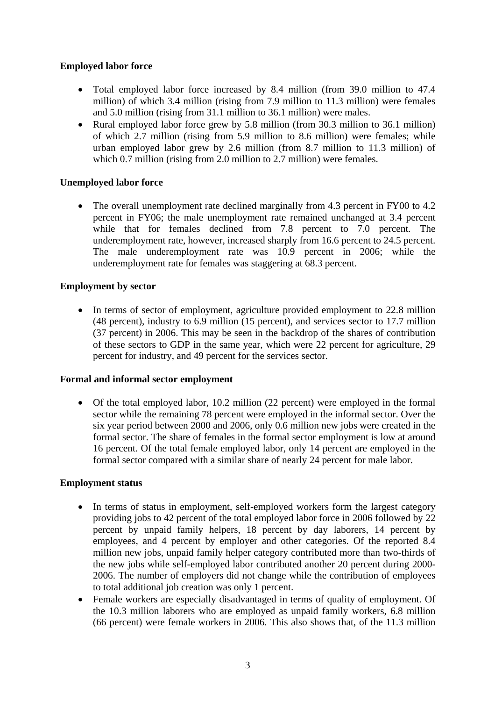# **Employed labor force**

- Total employed labor force increased by 8.4 million (from 39.0 million to 47.4 million) of which 3.4 million (rising from 7.9 million to 11.3 million) were females and 5.0 million (rising from 31.1 million to 36.1 million) were males.
- Rural employed labor force grew by 5.8 million (from 30.3 million to 36.1 million) of which 2.7 million (rising from 5.9 million to 8.6 million) were females; while urban employed labor grew by 2.6 million (from 8.7 million to 11.3 million) of which 0.7 million (rising from 2.0 million to 2.7 million) were females.

#### **Unemployed labor force**

The overall unemployment rate declined marginally from 4.3 percent in FY00 to 4.2 percent in FY06; the male unemployment rate remained unchanged at 3.4 percent while that for females declined from 7.8 percent to 7.0 percent. The underemployment rate, however, increased sharply from 16.6 percent to 24.5 percent. The male underemployment rate was 10.9 percent in 2006; while the underemployment rate for females was staggering at 68.3 percent.

#### **Employment by sector**

• In terms of sector of employment, agriculture provided employment to 22.8 million (48 percent), industry to 6.9 million (15 percent), and services sector to 17.7 million (37 percent) in 2006. This may be seen in the backdrop of the shares of contribution of these sectors to GDP in the same year, which were 22 percent for agriculture, 29 percent for industry, and 49 percent for the services sector.

#### **Formal and informal sector employment**

• Of the total employed labor, 10.2 million (22 percent) were employed in the formal sector while the remaining 78 percent were employed in the informal sector. Over the six year period between 2000 and 2006, only 0.6 million new jobs were created in the formal sector. The share of females in the formal sector employment is low at around 16 percent. Of the total female employed labor, only 14 percent are employed in the formal sector compared with a similar share of nearly 24 percent for male labor.

#### **Employment status**

- In terms of status in employment, self-employed workers form the largest category providing jobs to 42 percent of the total employed labor force in 2006 followed by 22 percent by unpaid family helpers, 18 percent by day laborers, 14 percent by employees, and 4 percent by employer and other categories. Of the reported 8.4 million new jobs, unpaid family helper category contributed more than two-thirds of the new jobs while self-employed labor contributed another 20 percent during 2000- 2006. The number of employers did not change while the contribution of employees to total additional job creation was only 1 percent.
- Female workers are especially disadvantaged in terms of quality of employment. Of the 10.3 million laborers who are employed as unpaid family workers, 6.8 million (66 percent) were female workers in 2006. This also shows that, of the 11.3 million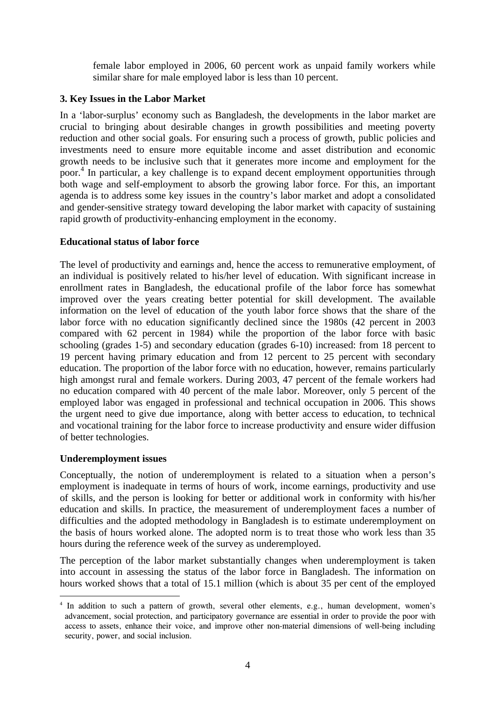female labor employed in 2006, 60 percent work as unpaid family workers while similar share for male employed labor is less than 10 percent.

#### **3. Key Issues in the Labor Market**

In a 'labor-surplus' economy such as Bangladesh, the developments in the labor market are crucial to bringing about desirable changes in growth possibilities and meeting poverty reduction and other social goals. For ensuring such a process of growth, public policies and investments need to ensure more equitable income and asset distribution and economic growth needs to be inclusive such that it generates more income and employment for the poor[.4](#page-4-0) In particular, a key challenge is to expand decent employment opportunities through both wage and self-employment to absorb the growing labor force. For this, an important agenda is to address some key issues in the country's labor market and adopt a consolidated and gender-sensitive strategy toward developing the labor market with capacity of sustaining rapid growth of productivity-enhancing employment in the economy.

# **Educational status of labor force**

The level of productivity and earnings and, hence the access to remunerative employment, of an individual is positively related to his/her level of education. With significant increase in enrollment rates in Bangladesh, the educational profile of the labor force has somewhat improved over the years creating better potential for skill development. The available information on the level of education of the youth labor force shows that the share of the labor force with no education significantly declined since the 1980s (42 percent in 2003 compared with 62 percent in 1984) while the proportion of the labor force with basic schooling (grades 1-5) and secondary education (grades 6-10) increased: from 18 percent to 19 percent having primary education and from 12 percent to 25 percent with secondary education. The proportion of the labor force with no education, however, remains particularly high amongst rural and female workers. During 2003, 47 percent of the female workers had no education compared with 40 percent of the male labor. Moreover, only 5 percent of the employed labor was engaged in professional and technical occupation in 2006. This shows the urgent need to give due importance, along with better access to education, to technical and vocational training for the labor force to increase productivity and ensure wider diffusion of better technologies.

#### **Underemployment issues**

 $\overline{a}$ 

Conceptually, the notion of underemployment is related to a situation when a person's employment is inadequate in terms of hours of work, income earnings, productivity and use of skills, and the person is looking for better or additional work in conformity with his/her education and skills. In practice, the measurement of underemployment faces a number of difficulties and the adopted methodology in Bangladesh is to estimate underemployment on the basis of hours worked alone. The adopted norm is to treat those who work less than 35 hours during the reference week of the survey as underemployed.

The perception of the labor market substantially changes when underemployment is taken into account in assessing the status of the labor force in Bangladesh. The information on hours worked shows that a total of 15.1 million (which is about 35 per cent of the employed

<span id="page-4-0"></span><sup>&</sup>lt;sup>4</sup> In addition to such a pattern of growth, several other elements, e.g., human development, women's advancement, social protection, and participatory governance are essential in order to provide the poor with access to assets, enhance their voice, and improve other non-material dimensions of well-being including security, power, and social inclusion.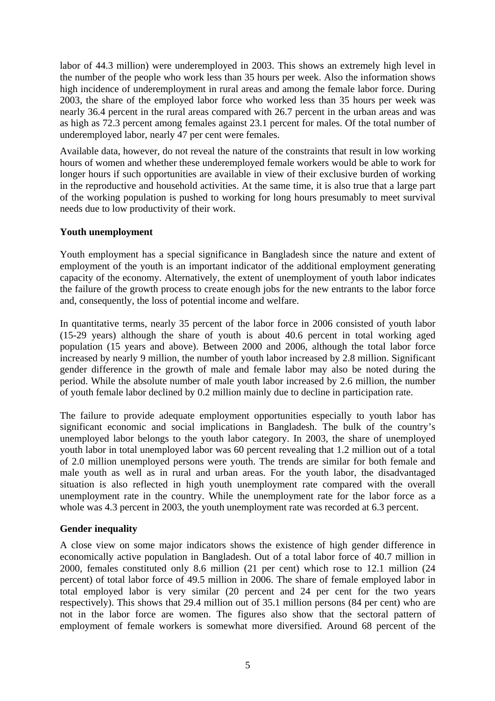labor of 44.3 million) were underemployed in 2003. This shows an extremely high level in the number of the people who work less than 35 hours per week. Also the information shows high incidence of underemployment in rural areas and among the female labor force. During 2003, the share of the employed labor force who worked less than 35 hours per week was nearly 36.4 percent in the rural areas compared with 26.7 percent in the urban areas and was as high as 72.3 percent among females against 23.1 percent for males. Of the total number of underemployed labor, nearly 47 per cent were females.

Available data, however, do not reveal the nature of the constraints that result in low working hours of women and whether these underemployed female workers would be able to work for longer hours if such opportunities are available in view of their exclusive burden of working in the reproductive and household activities. At the same time, it is also true that a large part of the working population is pushed to working for long hours presumably to meet survival needs due to low productivity of their work.

# **Youth unemployment**

Youth employment has a special significance in Bangladesh since the nature and extent of employment of the youth is an important indicator of the additional employment generating capacity of the economy. Alternatively, the extent of unemployment of youth labor indicates the failure of the growth process to create enough jobs for the new entrants to the labor force and, consequently, the loss of potential income and welfare.

In quantitative terms, nearly 35 percent of the labor force in 2006 consisted of youth labor (15-29 years) although the share of youth is about 40.6 percent in total working aged population (15 years and above). Between 2000 and 2006, although the total labor force increased by nearly 9 million, the number of youth labor increased by 2.8 million. Significant gender difference in the growth of male and female labor may also be noted during the period. While the absolute number of male youth labor increased by 2.6 million, the number of youth female labor declined by 0.2 million mainly due to decline in participation rate.

The failure to provide adequate employment opportunities especially to youth labor has significant economic and social implications in Bangladesh. The bulk of the country's unemployed labor belongs to the youth labor category. In 2003, the share of unemployed youth labor in total unemployed labor was 60 percent revealing that 1.2 million out of a total of 2.0 million unemployed persons were youth. The trends are similar for both female and male youth as well as in rural and urban areas. For the youth labor, the disadvantaged situation is also reflected in high youth unemployment rate compared with the overall unemployment rate in the country. While the unemployment rate for the labor force as a whole was 4.3 percent in 2003, the youth unemployment rate was recorded at 6.3 percent.

# **Gender inequality**

A close view on some major indicators shows the existence of high gender difference in economically active population in Bangladesh. Out of a total labor force of 40.7 million in 2000, females constituted only 8.6 million (21 per cent) which rose to 12.1 million (24 percent) of total labor force of 49.5 million in 2006. The share of female employed labor in total employed labor is very similar (20 percent and 24 per cent for the two years respectively). This shows that 29.4 million out of 35.1 million persons (84 per cent) who are not in the labor force are women. The figures also show that the sectoral pattern of employment of female workers is somewhat more diversified. Around 68 percent of the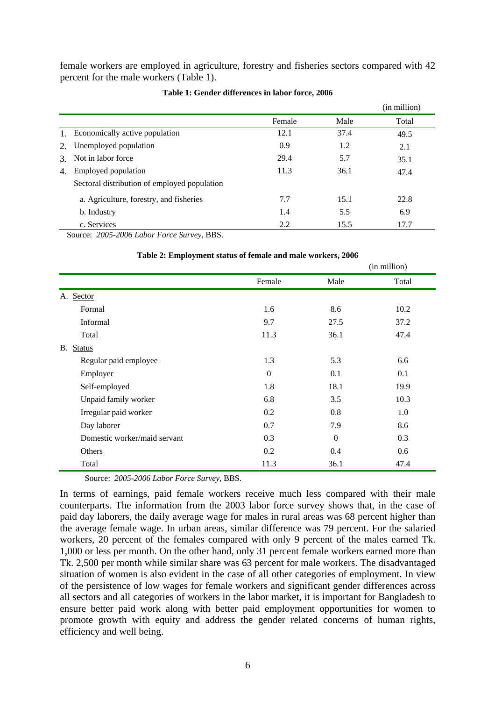female workers are employed in agriculture, forestry and fisheries sectors compared with 42 percent for the male workers (Table 1).

|               |                                              |        |      | (in million) |
|---------------|----------------------------------------------|--------|------|--------------|
|               |                                              | Female | Male | Total        |
| $1_{-}$       | Economically active population               | 12.1   | 37.4 | 49.5         |
| 2.            | Unemployed population                        | 0.9    | 1.2  | 2.1          |
| $\mathcal{E}$ | Not in labor force                           | 29.4   | 5.7  | 35.1         |
| 4.            | Employed population                          | 11.3   | 36.1 | 47.4         |
|               | Sectoral distribution of employed population |        |      |              |
|               | a. Agriculture, forestry, and fisheries      | 7.7    | 15.1 | 22.8         |
|               | b. Industry                                  | 1.4    | 5.5  | 6.9          |
|               | c. Services                                  | 2.2    | 15.5 | 17.7         |

#### **Table 1: Gender differences in labor force, 2006**

Source: *2005-2006 Labor Force Survey*, BBS.

|                              |              |                  | (in million) |  |
|------------------------------|--------------|------------------|--------------|--|
|                              | Female       | Male             | Total        |  |
| A. Sector                    |              |                  |              |  |
| Formal                       | 1.6          | 8.6              | 10.2         |  |
| Informal                     | 9.7          | 27.5             | 37.2         |  |
| Total                        | 11.3         | 36.1             | 47.4         |  |
| B. Status                    |              |                  |              |  |
| Regular paid employee        | 1.3          | 5.3              | 6.6          |  |
| Employer                     | $\mathbf{0}$ | 0.1              | 0.1          |  |
| Self-employed                | 1.8          | 18.1             | 19.9         |  |
| Unpaid family worker         | 6.8          | 3.5              | 10.3         |  |
| Irregular paid worker        | 0.2          | 0.8              | 1.0          |  |
| Day laborer                  | 0.7          | 7.9              | 8.6          |  |
| Domestic worker/maid servant | 0.3          | $\boldsymbol{0}$ | 0.3          |  |
| Others                       | 0.2          | 0.4              | 0.6          |  |
| Total                        | 11.3         | 36.1             | 47.4         |  |

#### **Table 2: Employment status of female and male workers, 2006**

Source: *2005-2006 Labor Force Survey,* BBS.

In terms of earnings, paid female workers receive much less compared with their male counterparts. The information from the 2003 labor force survey shows that, in the case of paid day laborers, the daily average wage for males in rural areas was 68 percent higher than the average female wage. In urban areas, similar difference was 79 percent. For the salaried workers, 20 percent of the females compared with only 9 percent of the males earned Tk. 1,000 or less per month. On the other hand, only 31 percent female workers earned more than Tk. 2,500 per month while similar share was 63 percent for male workers. The disadvantaged situation of women is also evident in the case of all other categories of employment. In view of the persistence of low wages for female workers and significant gender differences across all sectors and all categories of workers in the labor market, it is important for Bangladesh to ensure better paid work along with better paid employment opportunities for women to promote growth with equity and address the gender related concerns of human rights, efficiency and well being.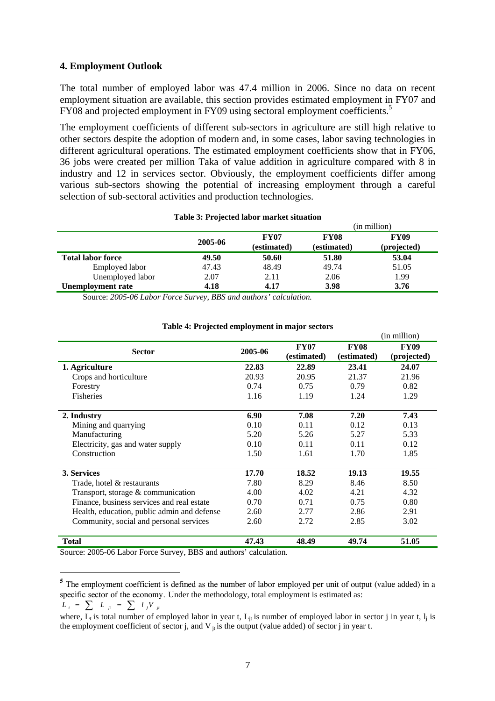#### **4. Employment Outlook**

The total number of employed labor was 47.4 million in 2006. Since no data on recent employment situation are available, this section provides estimated employment in FY07 and FY08 and projected employment in FY09 using sectoral employment coefficients.<sup>5</sup>

The employment coefficients of different sub-sectors in agriculture are still high relative to other sectors despite the adoption of modern and, in some cases, labor saving technologies in different agricultural operations. The estimated employment coefficients show that in FY06, 36 jobs were created per million Taka of value addition in agriculture compared with 8 in industry and 12 in services sector. Obviously, the employment coefficients differ among various sub-sectors showing the potential of increasing employment through a careful selection of sub-sectoral activities and production technologies.

#### **Table 3: Projected labor market situation**

|                          |         |                            | (in million)               |                            |  |
|--------------------------|---------|----------------------------|----------------------------|----------------------------|--|
|                          | 2005-06 | <b>FY07</b><br>(estimated) | <b>FY08</b><br>(estimated) | <b>FY09</b><br>(projected) |  |
| <b>Total labor force</b> | 49.50   | 50.60                      | 51.80                      | 53.04                      |  |
| Employed labor           | 47.43   | 48.49                      | 49.74                      | 51.05                      |  |
| Unemployed labor         | 2.07    | 2.11                       | 2.06                       | 1.99                       |  |
| Unemployment rate        | 4.18    | 4.17                       | 3.98                       | 3.76                       |  |

Source: *2005-06 Labor Force Survey, BBS and authors' calculation.* 

|                                             |         |                            |                            | (in million)               |
|---------------------------------------------|---------|----------------------------|----------------------------|----------------------------|
| <b>Sector</b>                               | 2005-06 | <b>FY07</b><br>(estimated) | <b>FY08</b><br>(estimated) | <b>FY09</b><br>(projected) |
| 1. Agriculture                              | 22.83   | 22.89                      | 23.41                      | 24.07                      |
| Crops and horticulture                      | 20.93   | 20.95                      | 21.37                      | 21.96                      |
| Forestry                                    | 0.74    | 0.75                       | 0.79                       | 0.82                       |
| Fisheries                                   | 1.16    | 1.19                       | 1.24                       | 1.29                       |
| 2. Industry                                 | 6.90    | 7.08                       | 7.20                       | 7.43                       |
| Mining and quarrying                        | 0.10    | 0.11                       | 0.12                       | 0.13                       |
| Manufacturing                               | 5.20    | 5.26                       | 5.27                       | 5.33                       |
| Electricity, gas and water supply           | 0.10    | 0.11                       | 0.11                       | 0.12                       |
| Construction                                | 1.50    | 1.61                       | 1.70                       | 1.85                       |
| 3. Services                                 | 17.70   | 18.52                      | 19.13                      | 19.55                      |
| Trade, hotel & restaurants                  | 7.80    | 8.29                       | 8.46                       | 8.50                       |
| Transport, storage & communication          | 4.00    | 4.02                       | 4.21                       | 4.32                       |
| Finance, business services and real estate  | 0.70    | 0.71                       | 0.75                       | 0.80                       |
| Health, education, public admin and defense | 2.60    | 2.77                       | 2.86                       | 2.91                       |
| Community, social and personal services     | 2.60    | 2.72                       | 2.85                       | 3.02                       |
| <b>Total</b>                                | 47.43   | 48.49                      | 49.74                      | 51.05                      |

#### **Table 4: Projected employment in major sectors**

Source: 2005-06 Labor Force Survey, BBS and authors' calculation.

$$
L_t = \sum L_{jt} = \sum l_j V_{jt}
$$

 $\overline{a}$ 

<span id="page-7-0"></span>**<sup>5</sup>** The employment coefficient is defined as the number of labor employed per unit of output (value added) in a specific sector of the economy. Under the methodology, total employment is estimated as:

where, L<sub>t</sub> is total number of employed labor in year t, L<sub>it</sub> is number of employed labor in sector j in year t, l<sub>i</sub> is the employment coefficient of sector j, and V  $_{it}$  is the output (value added) of sector j in year t.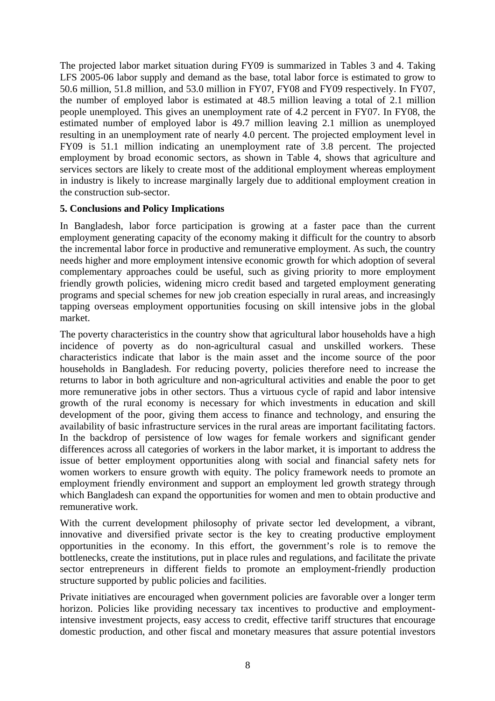The projected labor market situation during FY09 is summarized in Tables 3 and 4. Taking LFS 2005-06 labor supply and demand as the base, total labor force is estimated to grow to 50.6 million, 51.8 million, and 53.0 million in FY07, FY08 and FY09 respectively. In FY07, the number of employed labor is estimated at 48.5 million leaving a total of 2.1 million people unemployed. This gives an unemployment rate of 4.2 percent in FY07. In FY08, the estimated number of employed labor is 49.7 million leaving 2.1 million as unemployed resulting in an unemployment rate of nearly 4.0 percent. The projected employment level in FY09 is 51.1 million indicating an unemployment rate of 3.8 percent. The projected employment by broad economic sectors, as shown in Table 4, shows that agriculture and services sectors are likely to create most of the additional employment whereas employment in industry is likely to increase marginally largely due to additional employment creation in the construction sub-sector.

# **5. Conclusions and Policy Implications**

In Bangladesh, labor force participation is growing at a faster pace than the current employment generating capacity of the economy making it difficult for the country to absorb the incremental labor force in productive and remunerative employment. As such, the country needs higher and more employment intensive economic growth for which adoption of several complementary approaches could be useful, such as giving priority to more employment friendly growth policies, widening micro credit based and targeted employment generating programs and special schemes for new job creation especially in rural areas, and increasingly tapping overseas employment opportunities focusing on skill intensive jobs in the global market.

The poverty characteristics in the country show that agricultural labor households have a high incidence of poverty as do non-agricultural casual and unskilled workers. These characteristics indicate that labor is the main asset and the income source of the poor households in Bangladesh. For reducing poverty, policies therefore need to increase the returns to labor in both agriculture and non-agricultural activities and enable the poor to get more remunerative jobs in other sectors. Thus a virtuous cycle of rapid and labor intensive growth of the rural economy is necessary for which investments in education and skill development of the poor, giving them access to finance and technology, and ensuring the availability of basic infrastructure services in the rural areas are important facilitating factors. In the backdrop of persistence of low wages for female workers and significant gender differences across all categories of workers in the labor market, it is important to address the issue of better employment opportunities along with social and financial safety nets for women workers to ensure growth with equity. The policy framework needs to promote an employment friendly environment and support an employment led growth strategy through which Bangladesh can expand the opportunities for women and men to obtain productive and remunerative work.

With the current development philosophy of private sector led development, a vibrant, innovative and diversified private sector is the key to creating productive employment opportunities in the economy. In this effort, the government's role is to remove the bottlenecks, create the institutions, put in place rules and regulations, and facilitate the private sector entrepreneurs in different fields to promote an employment-friendly production structure supported by public policies and facilities.

Private initiatives are encouraged when government policies are favorable over a longer term horizon. Policies like providing necessary tax incentives to productive and employmentintensive investment projects, easy access to credit, effective tariff structures that encourage domestic production, and other fiscal and monetary measures that assure potential investors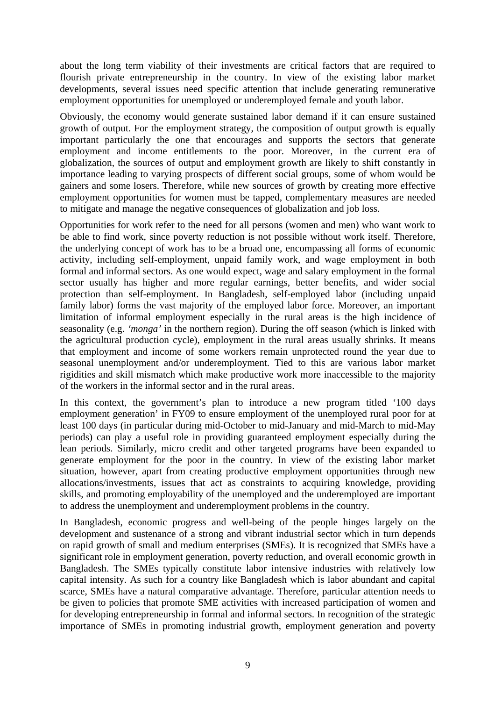about the long term viability of their investments are critical factors that are required to flourish private entrepreneurship in the country. In view of the existing labor market developments, several issues need specific attention that include generating remunerative employment opportunities for unemployed or underemployed female and youth labor.

Obviously, the economy would generate sustained labor demand if it can ensure sustained growth of output. For the employment strategy, the composition of output growth is equally important particularly the one that encourages and supports the sectors that generate employment and income entitlements to the poor. Moreover, in the current era of globalization, the sources of output and employment growth are likely to shift constantly in importance leading to varying prospects of different social groups, some of whom would be gainers and some losers. Therefore, while new sources of growth by creating more effective employment opportunities for women must be tapped, complementary measures are needed to mitigate and manage the negative consequences of globalization and job loss.

Opportunities for work refer to the need for all persons (women and men) who want work to be able to find work, since poverty reduction is not possible without work itself. Therefore, the underlying concept of work has to be a broad one, encompassing all forms of economic activity, including self-employment, unpaid family work, and wage employment in both formal and informal sectors. As one would expect, wage and salary employment in the formal sector usually has higher and more regular earnings, better benefits, and wider social protection than self-employment. In Bangladesh, self-employed labor (including unpaid family labor) forms the vast majority of the employed labor force. Moreover, an important limitation of informal employment especially in the rural areas is the high incidence of seasonality (e.g. *'monga'* in the northern region). During the off season (which is linked with the agricultural production cycle), employment in the rural areas usually shrinks. It means that employment and income of some workers remain unprotected round the year due to seasonal unemployment and/or underemployment. Tied to this are various labor market rigidities and skill mismatch which make productive work more inaccessible to the majority of the workers in the informal sector and in the rural areas.

In this context, the government's plan to introduce a new program titled '100 days employment generation' in FY09 to ensure employment of the unemployed rural poor for at least 100 days (in particular during mid-October to mid-January and mid-March to mid-May periods) can play a useful role in providing guaranteed employment especially during the lean periods. Similarly, micro credit and other targeted programs have been expanded to generate employment for the poor in the country. In view of the existing labor market situation, however, apart from creating productive employment opportunities through new allocations/investments, issues that act as constraints to acquiring knowledge, providing skills, and promoting employability of the unemployed and the underemployed are important to address the unemployment and underemployment problems in the country.

In Bangladesh, economic progress and well-being of the people hinges largely on the development and sustenance of a strong and vibrant industrial sector which in turn depends on rapid growth of small and medium enterprises (SMEs). It is recognized that SMEs have a significant role in employment generation, poverty reduction, and overall economic growth in Bangladesh. The SMEs typically constitute labor intensive industries with relatively low capital intensity. As such for a country like Bangladesh which is labor abundant and capital scarce, SMEs have a natural comparative advantage. Therefore, particular attention needs to be given to policies that promote SME activities with increased participation of women and for developing entrepreneurship in formal and informal sectors. In recognition of the strategic importance of SMEs in promoting industrial growth, employment generation and poverty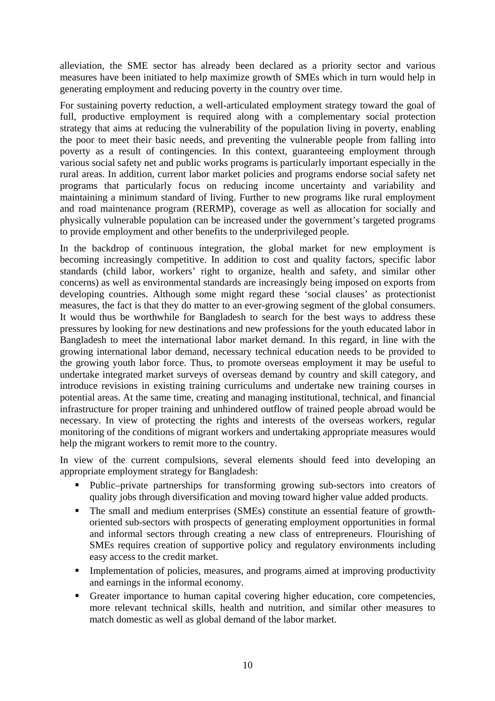alleviation, the SME sector has already been declared as a priority sector and various measures have been initiated to help maximize growth of SMEs which in turn would help in generating employment and reducing poverty in the country over time.

For sustaining poverty reduction, a well-articulated employment strategy toward the goal of full, productive employment is required along with a complementary social protection strategy that aims at reducing the vulnerability of the population living in poverty, enabling the poor to meet their basic needs, and preventing the vulnerable people from falling into poverty as a result of contingencies. In this context, guaranteeing employment through various social safety net and public works programs is particularly important especially in the rural areas. In addition, current labor market policies and programs endorse social safety net programs that particularly focus on reducing income uncertainty and variability and maintaining a minimum standard of living. Further to new programs like rural employment and road maintenance program (RERMP), coverage as well as allocation for socially and physically vulnerable population can be increased under the government's targeted programs to provide employment and other benefits to the underprivileged people.

In the backdrop of continuous integration, the global market for new employment is becoming increasingly competitive. In addition to cost and quality factors, specific labor standards (child labor, workers' right to organize, health and safety, and similar other concerns) as well as environmental standards are increasingly being imposed on exports from developing countries. Although some might regard these 'social clauses' as protectionist measures, the fact is that they do matter to an ever-growing segment of the global consumers. It would thus be worthwhile for Bangladesh to search for the best ways to address these pressures by looking for new destinations and new professions for the youth educated labor in Bangladesh to meet the international labor market demand. In this regard, in line with the growing international labor demand, necessary technical education needs to be provided to the growing youth labor force. Thus, to promote overseas employment it may be useful to undertake integrated market surveys of overseas demand by country and skill category, and introduce revisions in existing training curriculums and undertake new training courses in potential areas. At the same time, creating and managing institutional, technical, and financial infrastructure for proper training and unhindered outflow of trained people abroad would be necessary. In view of protecting the rights and interests of the overseas workers, regular monitoring of the conditions of migrant workers and undertaking appropriate measures would help the migrant workers to remit more to the country.

In view of the current compulsions, several elements should feed into developing an appropriate employment strategy for Bangladesh:

- Public–private partnerships for transforming growing sub-sectors into creators of quality jobs through diversification and moving toward higher value added products.
- The small and medium enterprises (SMEs) constitute an essential feature of growthoriented sub-sectors with prospects of generating employment opportunities in formal and informal sectors through creating a new class of entrepreneurs. Flourishing of SMEs requires creation of supportive policy and regulatory environments including easy access to the credit market.
- **Implementation of policies, measures, and programs aimed at improving productivity** and earnings in the informal economy.
- Greater importance to human capital covering higher education, core competencies, more relevant technical skills, health and nutrition, and similar other measures to match domestic as well as global demand of the labor market.